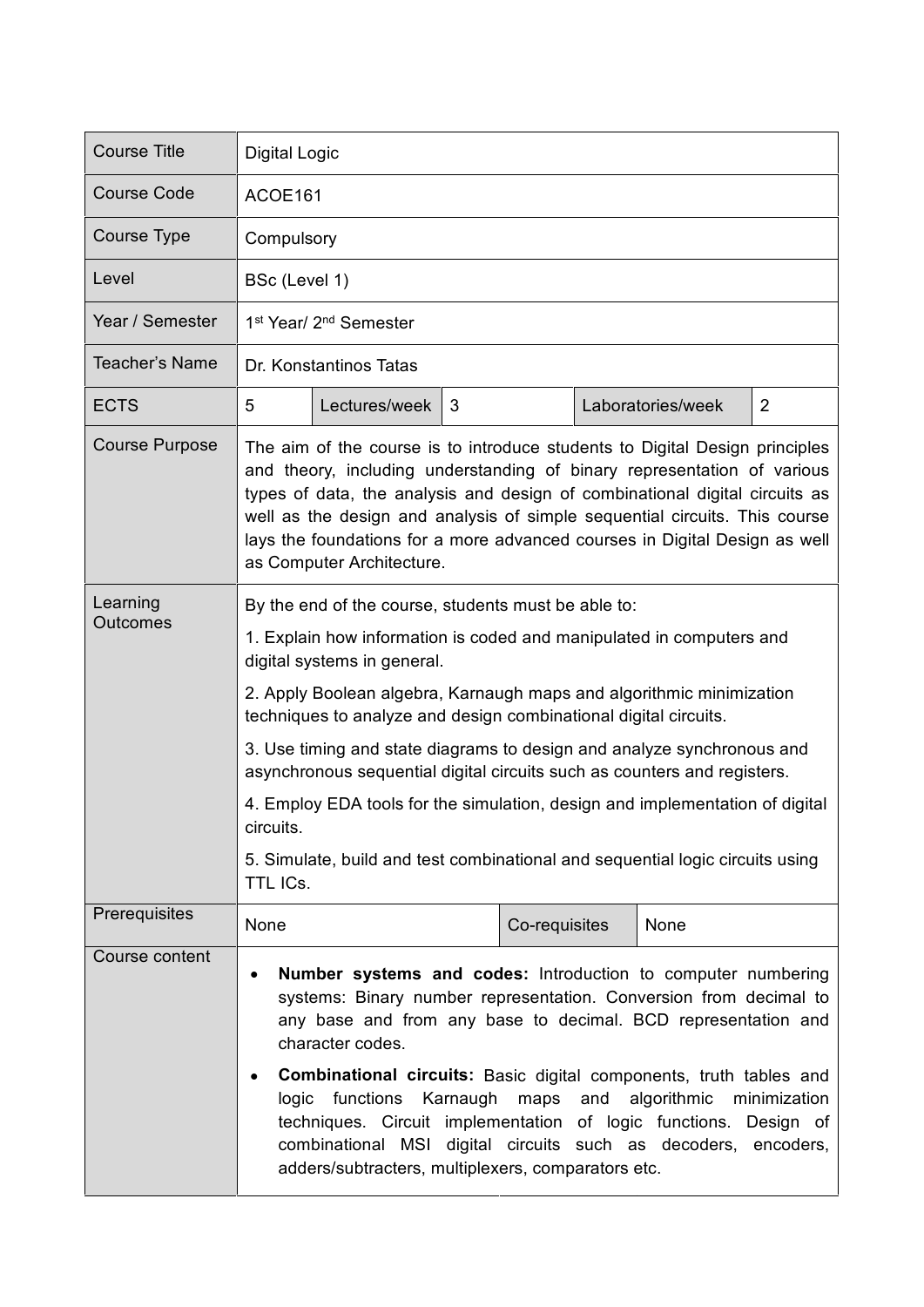| <b>Course Title</b>         | <b>Digital Logic</b>                                                                                                                                                                                                                                                                                                                                                                                                                                                                                                                                                                                                                                   |               |   |               |  |                   |                |
|-----------------------------|--------------------------------------------------------------------------------------------------------------------------------------------------------------------------------------------------------------------------------------------------------------------------------------------------------------------------------------------------------------------------------------------------------------------------------------------------------------------------------------------------------------------------------------------------------------------------------------------------------------------------------------------------------|---------------|---|---------------|--|-------------------|----------------|
| <b>Course Code</b>          | ACOE161                                                                                                                                                                                                                                                                                                                                                                                                                                                                                                                                                                                                                                                |               |   |               |  |                   |                |
| Course Type                 | Compulsory                                                                                                                                                                                                                                                                                                                                                                                                                                                                                                                                                                                                                                             |               |   |               |  |                   |                |
| Level                       | BSc (Level 1)                                                                                                                                                                                                                                                                                                                                                                                                                                                                                                                                                                                                                                          |               |   |               |  |                   |                |
| Year / Semester             | 1 <sup>st</sup> Year/ 2 <sup>nd</sup> Semester                                                                                                                                                                                                                                                                                                                                                                                                                                                                                                                                                                                                         |               |   |               |  |                   |                |
| Teacher's Name              | Dr. Konstantinos Tatas                                                                                                                                                                                                                                                                                                                                                                                                                                                                                                                                                                                                                                 |               |   |               |  |                   |                |
| <b>ECTS</b>                 | 5                                                                                                                                                                                                                                                                                                                                                                                                                                                                                                                                                                                                                                                      | Lectures/week | 3 |               |  | Laboratories/week | $\overline{2}$ |
| <b>Course Purpose</b>       | The aim of the course is to introduce students to Digital Design principles<br>and theory, including understanding of binary representation of various<br>types of data, the analysis and design of combinational digital circuits as<br>well as the design and analysis of simple sequential circuits. This course<br>lays the foundations for a more advanced courses in Digital Design as well<br>as Computer Architecture.                                                                                                                                                                                                                         |               |   |               |  |                   |                |
| Learning<br><b>Outcomes</b> | By the end of the course, students must be able to:<br>1. Explain how information is coded and manipulated in computers and<br>digital systems in general.<br>2. Apply Boolean algebra, Karnaugh maps and algorithmic minimization<br>techniques to analyze and design combinational digital circuits.<br>3. Use timing and state diagrams to design and analyze synchronous and<br>asynchronous sequential digital circuits such as counters and registers.<br>4. Employ EDA tools for the simulation, design and implementation of digital<br>circuits.<br>5. Simulate, build and test combinational and sequential logic circuits using<br>TTL ICs. |               |   |               |  |                   |                |
| Prerequisites               | None                                                                                                                                                                                                                                                                                                                                                                                                                                                                                                                                                                                                                                                   |               |   | Co-requisites |  | None              |                |
| Course content              | <b>Number systems and codes:</b> Introduction to computer numbering<br>systems: Binary number representation. Conversion from decimal to<br>any base and from any base to decimal. BCD representation and<br>character codes.<br><b>Combinational circuits:</b> Basic digital components, truth tables and<br>functions Karnaugh<br>maps and algorithmic<br>logic<br>minimization<br>techniques. Circuit implementation of logic functions. Design of<br>combinational MSI digital circuits such as decoders, encoders,<br>adders/subtracters, multiplexers, comparators etc.                                                                          |               |   |               |  |                   |                |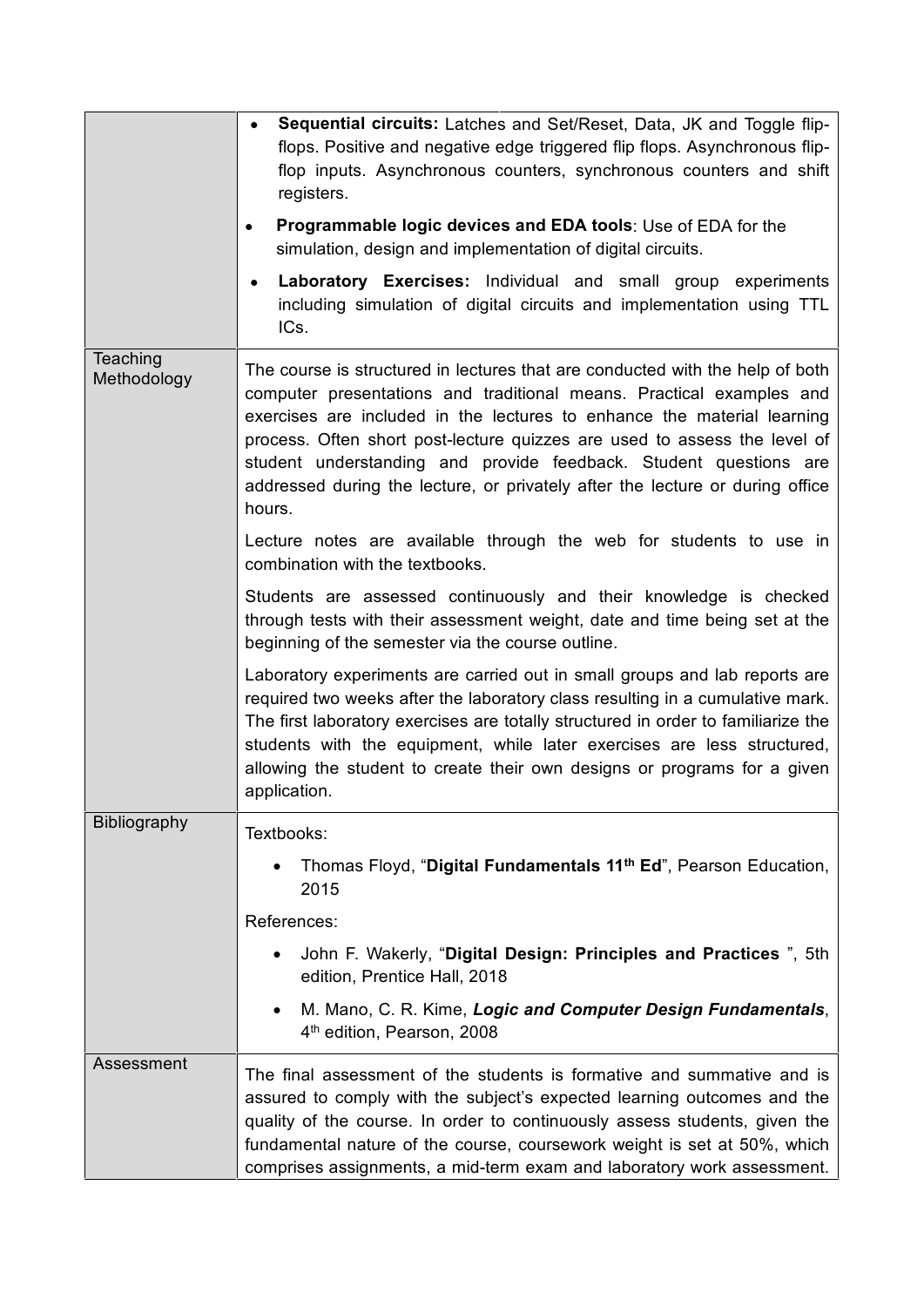|                         | Sequential circuits: Latches and Set/Reset, Data, JK and Toggle flip-<br>flops. Positive and negative edge triggered flip flops. Asynchronous flip-<br>flop inputs. Asynchronous counters, synchronous counters and shift<br>registers.<br>Programmable logic devices and EDA tools: Use of EDA for the<br>simulation, design and implementation of digital circuits.<br>Laboratory Exercises: Individual and small group experiments<br>$\bullet$<br>including simulation of digital circuits and implementation using TTL<br>ICs.                                                                                                                                                                                                                                                            |  |  |  |
|-------------------------|------------------------------------------------------------------------------------------------------------------------------------------------------------------------------------------------------------------------------------------------------------------------------------------------------------------------------------------------------------------------------------------------------------------------------------------------------------------------------------------------------------------------------------------------------------------------------------------------------------------------------------------------------------------------------------------------------------------------------------------------------------------------------------------------|--|--|--|
| Teaching<br>Methodology | The course is structured in lectures that are conducted with the help of both<br>computer presentations and traditional means. Practical examples and<br>exercises are included in the lectures to enhance the material learning<br>process. Often short post-lecture quizzes are used to assess the level of<br>student understanding and provide feedback. Student questions are<br>addressed during the lecture, or privately after the lecture or during office<br>hours.<br>Lecture notes are available through the web for students to use in<br>combination with the textbooks.<br>Students are assessed continuously and their knowledge is checked<br>through tests with their assessment weight, date and time being set at the<br>beginning of the semester via the course outline. |  |  |  |
|                         |                                                                                                                                                                                                                                                                                                                                                                                                                                                                                                                                                                                                                                                                                                                                                                                                |  |  |  |
|                         |                                                                                                                                                                                                                                                                                                                                                                                                                                                                                                                                                                                                                                                                                                                                                                                                |  |  |  |
|                         | Laboratory experiments are carried out in small groups and lab reports are<br>required two weeks after the laboratory class resulting in a cumulative mark.<br>The first laboratory exercises are totally structured in order to familiarize the<br>students with the equipment, while later exercises are less structured,<br>allowing the student to create their own designs or programs for a given<br>application.                                                                                                                                                                                                                                                                                                                                                                        |  |  |  |
| Bibliography            | Textbooks:                                                                                                                                                                                                                                                                                                                                                                                                                                                                                                                                                                                                                                                                                                                                                                                     |  |  |  |
|                         | Thomas Floyd, "Digital Fundamentals 11 <sup>th</sup> Ed", Pearson Education,<br>2015                                                                                                                                                                                                                                                                                                                                                                                                                                                                                                                                                                                                                                                                                                           |  |  |  |
|                         | References:                                                                                                                                                                                                                                                                                                                                                                                                                                                                                                                                                                                                                                                                                                                                                                                    |  |  |  |
|                         | John F. Wakerly, "Digital Design: Principles and Practices", 5th<br>edition, Prentice Hall, 2018                                                                                                                                                                                                                                                                                                                                                                                                                                                                                                                                                                                                                                                                                               |  |  |  |
|                         | M. Mano, C. R. Kime, Logic and Computer Design Fundamentals,<br>4 <sup>th</sup> edition, Pearson, 2008                                                                                                                                                                                                                                                                                                                                                                                                                                                                                                                                                                                                                                                                                         |  |  |  |
| Assessment              | The final assessment of the students is formative and summative and is<br>assured to comply with the subject's expected learning outcomes and the<br>quality of the course. In order to continuously assess students, given the<br>fundamental nature of the course, coursework weight is set at 50%, which<br>comprises assignments, a mid-term exam and laboratory work assessment.                                                                                                                                                                                                                                                                                                                                                                                                          |  |  |  |